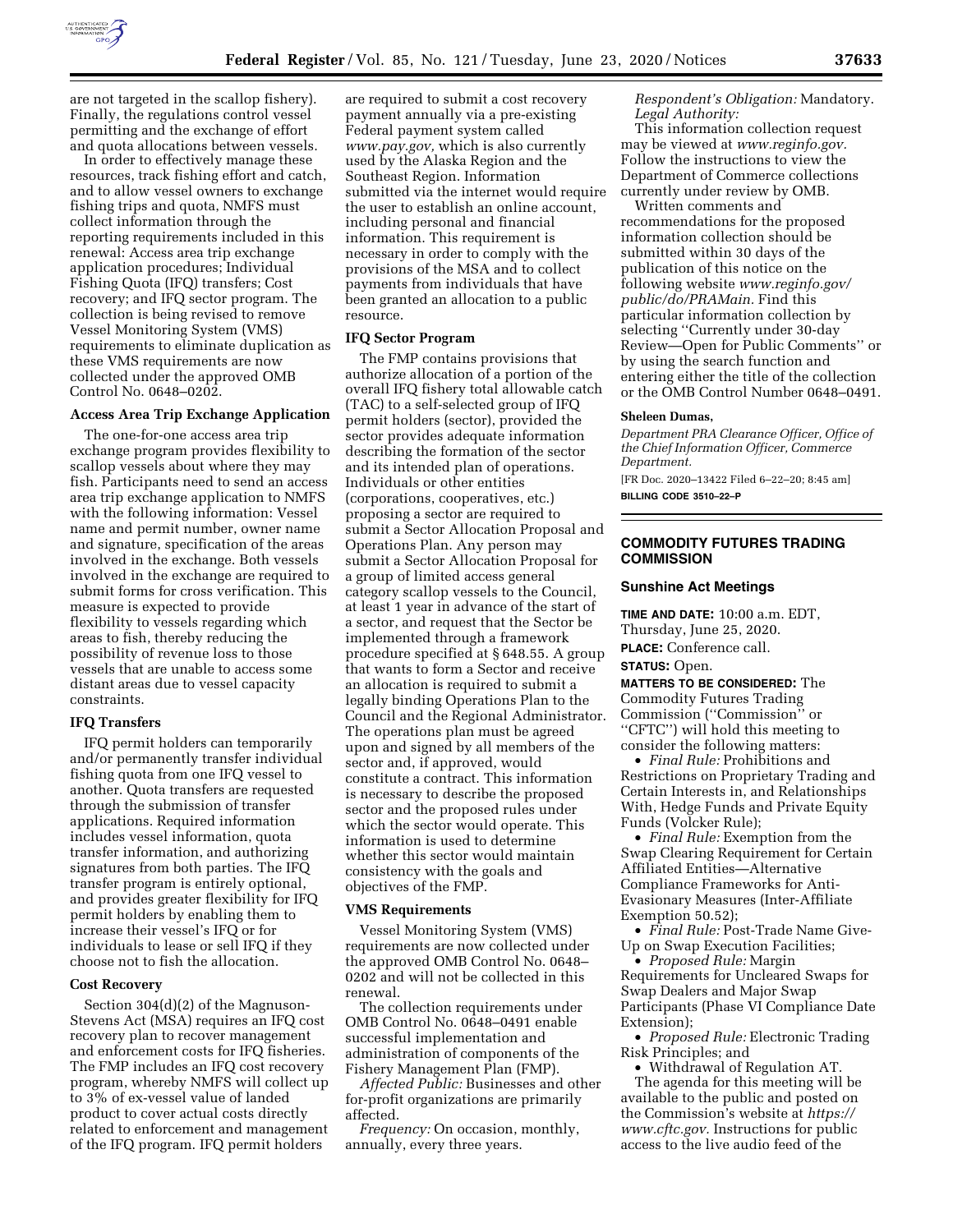

are not targeted in the scallop fishery). Finally, the regulations control vessel permitting and the exchange of effort and quota allocations between vessels.

In order to effectively manage these resources, track fishing effort and catch, and to allow vessel owners to exchange fishing trips and quota, NMFS must collect information through the reporting requirements included in this renewal: Access area trip exchange application procedures; Individual Fishing Quota (IFQ) transfers; Cost recovery; and IFQ sector program. The collection is being revised to remove Vessel Monitoring System (VMS) requirements to eliminate duplication as these VMS requirements are now collected under the approved OMB Control No. 0648–0202.

### **Access Area Trip Exchange Application**

The one-for-one access area trip exchange program provides flexibility to scallop vessels about where they may fish. Participants need to send an access area trip exchange application to NMFS with the following information: Vessel name and permit number, owner name and signature, specification of the areas involved in the exchange. Both vessels involved in the exchange are required to submit forms for cross verification. This measure is expected to provide flexibility to vessels regarding which areas to fish, thereby reducing the possibility of revenue loss to those vessels that are unable to access some distant areas due to vessel capacity constraints.

### **IFQ Transfers**

IFQ permit holders can temporarily and/or permanently transfer individual fishing quota from one IFQ vessel to another. Quota transfers are requested through the submission of transfer applications. Required information includes vessel information, quota transfer information, and authorizing signatures from both parties. The IFQ transfer program is entirely optional, and provides greater flexibility for IFQ permit holders by enabling them to increase their vessel's IFQ or for individuals to lease or sell IFQ if they choose not to fish the allocation.

#### **Cost Recovery**

Section 304(d)(2) of the Magnuson-Stevens Act (MSA) requires an IFQ cost recovery plan to recover management and enforcement costs for IFQ fisheries. The FMP includes an IFQ cost recovery program, whereby NMFS will collect up to 3% of ex-vessel value of landed product to cover actual costs directly related to enforcement and management of the IFQ program. IFQ permit holders

are required to submit a cost recovery payment annually via a pre-existing Federal payment system called *[www.pay.gov,](http://www.pay.gov)* which is also currently used by the Alaska Region and the Southeast Region. Information submitted via the internet would require the user to establish an online account, including personal and financial information. This requirement is necessary in order to comply with the provisions of the MSA and to collect payments from individuals that have been granted an allocation to a public resource.

#### **IFQ Sector Program**

The FMP contains provisions that authorize allocation of a portion of the overall IFQ fishery total allowable catch (TAC) to a self-selected group of IFQ permit holders (sector), provided the sector provides adequate information describing the formation of the sector and its intended plan of operations. Individuals or other entities (corporations, cooperatives, etc.) proposing a sector are required to submit a Sector Allocation Proposal and Operations Plan. Any person may submit a Sector Allocation Proposal for a group of limited access general category scallop vessels to the Council, at least 1 year in advance of the start of a sector, and request that the Sector be implemented through a framework procedure specified at § 648.55. A group that wants to form a Sector and receive an allocation is required to submit a legally binding Operations Plan to the Council and the Regional Administrator. The operations plan must be agreed upon and signed by all members of the sector and, if approved, would constitute a contract. This information is necessary to describe the proposed sector and the proposed rules under which the sector would operate. This information is used to determine whether this sector would maintain consistency with the goals and objectives of the FMP.

#### **VMS Requirements**

Vessel Monitoring System (VMS) requirements are now collected under the approved OMB Control No. 0648– 0202 and will not be collected in this renewal.

The collection requirements under OMB Control No. 0648–0491 enable successful implementation and administration of components of the Fishery Management Plan (FMP).

*Affected Public:* Businesses and other for-profit organizations are primarily affected.

*Frequency:* On occasion, monthly, annually, every three years.

*Respondent's Obligation:* Mandatory. *Legal Authority:* 

This information collection request may be viewed at *[www.reginfo.gov.](http://www.reginfo.gov)*  Follow the instructions to view the Department of Commerce collections currently under review by OMB.

Written comments and recommendations for the proposed information collection should be submitted within 30 days of the publication of this notice on the following website *[www.reginfo.gov/](http://www.reginfo.gov/public/do/PRAMain)  [public/do/PRAMain.](http://www.reginfo.gov/public/do/PRAMain)* Find this particular information collection by selecting ''Currently under 30-day Review—Open for Public Comments'' or by using the search function and entering either the title of the collection or the OMB Control Number 0648–0491.

#### **Sheleen Dumas,**

*Department PRA Clearance Officer, Office of the Chief Information Officer, Commerce Department.* 

[FR Doc. 2020–13422 Filed 6–22–20; 8:45 am]

**BILLING CODE 3510–22–P** 

## **COMMODITY FUTURES TRADING COMMISSION**

### **Sunshine Act Meetings**

**TIME AND DATE:** 10:00 a.m. EDT, Thursday, June 25, 2020. **PLACE:** Conference call.

### **STATUS:** Open.

**MATTERS TO BE CONSIDERED:** The Commodity Futures Trading Commission (''Commission'' or ''CFTC'') will hold this meeting to consider the following matters:

• *Final Rule:* Prohibitions and Restrictions on Proprietary Trading and Certain Interests in, and Relationships With, Hedge Funds and Private Equity Funds (Volcker Rule);

• *Final Rule:* Exemption from the Swap Clearing Requirement for Certain Affiliated Entities—Alternative Compliance Frameworks for Anti-Evasionary Measures (Inter-Affiliate Exemption 50.52);

• *Final Rule:* Post-Trade Name Give-Up on Swap Execution Facilities;

• *Proposed Rule:* Margin Requirements for Uncleared Swaps for Swap Dealers and Major Swap Participants (Phase VI Compliance Date Extension);

• *Proposed Rule:* Electronic Trading Risk Principles; and

• Withdrawal of Regulation AT. The agenda for this meeting will be available to the public and posted on the Commission's website at *[https://](https://www.cftc.gov) [www.cftc.gov.](https://www.cftc.gov)* Instructions for public access to the live audio feed of the